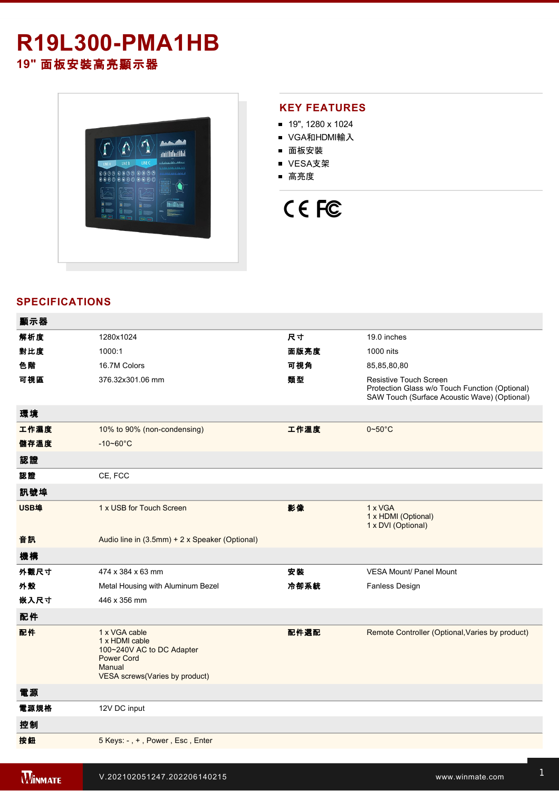## **R19L300-PMA1HB 19"** 面板安裝高亮顯示器



#### **KEY FEATURES**

- 19", 1280 x 1024
- VGA和HDMI輸入
- 面板安裝
- VESA支架
- 高亮度

# CE FC

#### **SPECIFICATIONS**

| 顯示器  |                                                                                                                                      |      |                                                                                                                                 |
|------|--------------------------------------------------------------------------------------------------------------------------------------|------|---------------------------------------------------------------------------------------------------------------------------------|
| 解析度  | 1280x1024                                                                                                                            | 尺寸   | 19.0 inches                                                                                                                     |
| 對比度  | 1000:1                                                                                                                               | 面版亮度 | 1000 nits                                                                                                                       |
| 色階   | 16.7M Colors                                                                                                                         | 可視角  | 85,85,80,80                                                                                                                     |
| 可視區  | 376.32x301.06 mm                                                                                                                     | 類型   | <b>Resistive Touch Screen</b><br>Protection Glass w/o Touch Function (Optional)<br>SAW Touch (Surface Acoustic Wave) (Optional) |
| 環境   |                                                                                                                                      |      |                                                                                                                                 |
| 工作濕度 | 10% to 90% (non-condensing)                                                                                                          | 工作溫度 | $0\neg 50^\circ C$                                                                                                              |
| 儲存溫度 | $-10 - 60^{\circ}$ C                                                                                                                 |      |                                                                                                                                 |
| 認證   |                                                                                                                                      |      |                                                                                                                                 |
| 認證   | CE, FCC                                                                                                                              |      |                                                                                                                                 |
| 訊號埠  |                                                                                                                                      |      |                                                                                                                                 |
| USB埠 | 1 x USB for Touch Screen                                                                                                             | 影像   | 1 x VGA<br>1 x HDMI (Optional)<br>1 x DVI (Optional)                                                                            |
| 音訊   | Audio line in (3.5mm) + 2 x Speaker (Optional)                                                                                       |      |                                                                                                                                 |
| 機構   |                                                                                                                                      |      |                                                                                                                                 |
| 外觀尺寸 | 474 x 384 x 63 mm                                                                                                                    | 安裝   | <b>VESA Mount/ Panel Mount</b>                                                                                                  |
| 外殼   | Metal Housing with Aluminum Bezel                                                                                                    | 冷卻系統 | <b>Fanless Design</b>                                                                                                           |
| 嵌入尺寸 | 446 x 356 mm                                                                                                                         |      |                                                                                                                                 |
| 配件   |                                                                                                                                      |      |                                                                                                                                 |
| 配件   | 1 x VGA cable<br>1 x HDMI cable<br>100~240V AC to DC Adapter<br><b>Power Cord</b><br>Manual<br><b>VESA screws(Varies by product)</b> | 配件選配 | Remote Controller (Optional, Varies by product)                                                                                 |
| 電源   |                                                                                                                                      |      |                                                                                                                                 |
| 電源規格 | 12V DC input                                                                                                                         |      |                                                                                                                                 |
| 控制   |                                                                                                                                      |      |                                                                                                                                 |
| 按鈕   | 5 Keys: -, +, Power, Esc, Enter                                                                                                      |      |                                                                                                                                 |
|      |                                                                                                                                      |      |                                                                                                                                 |

windows and **R19L300PM** and R19L300PM and R19L300PM